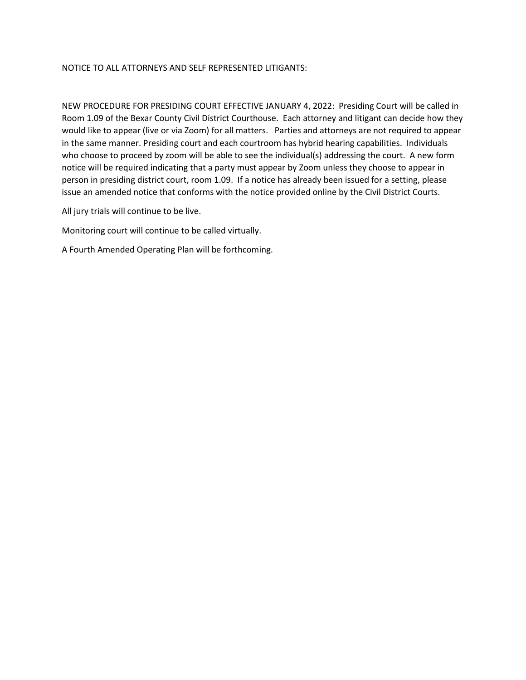## NOTICE TO ALL ATTORNEYS AND SELF REPRESENTED LITIGANTS:

NEW PROCEDURE FOR PRESIDING COURT EFFECTIVE JANUARY 4, 2022: Presiding Court will be called in Room 1.09 of the Bexar County Civil District Courthouse. Each attorney and litigant can decide how they would like to appear (live or via Zoom) for all matters. Parties and attorneys are not required to appear in the same manner. Presiding court and each courtroom has hybrid hearing capabilities. Individuals who choose to proceed by zoom will be able to see the individual(s) addressing the court. A new form notice will be required indicating that a party must appear by Zoom unless they choose to appear in person in presiding district court, room 1.09. If a notice has already been issued for a setting, please issue an amended notice that conforms with the notice provided online by the Civil District Courts.

All jury trials will continue to be live.

Monitoring court will continue to be called virtually.

A Fourth Amended Operating Plan will be forthcoming.